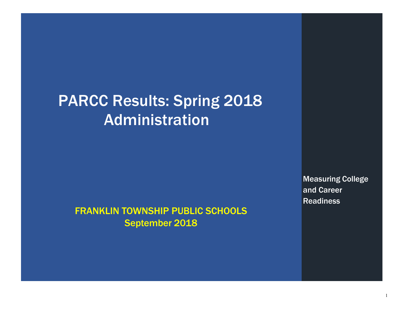## PARCC Results: Spring 2018 Administration

### FRANKLIN TOWNSHIP PUBLIC SCHOOLS September 2018

Measuring College and Career Readiness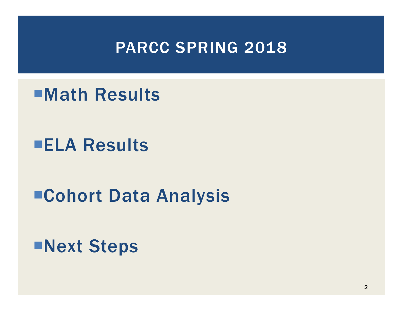## PARCC SPRING 2018

## ¡Math Results

## **ELA Results**

## ■Cohort Data Analysis

¡Next Steps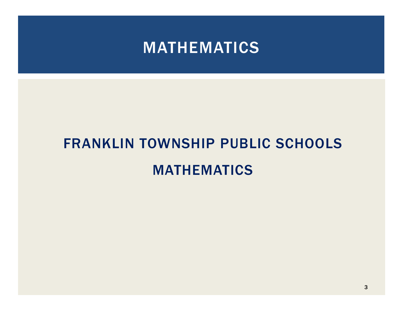## MATHEMATICS

# FRANKLIN TOWNSHIP PUBLIC SCHOOLS MATHEMATICS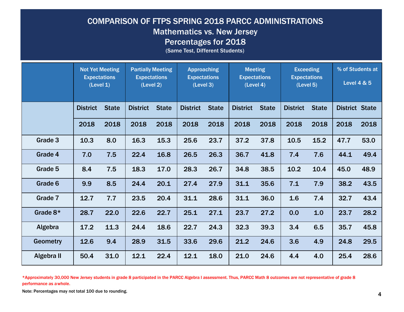#### COMPARISON OF FTPS SPRING 2018 PARCC ADMINISTRATIONS Mathematics vs. New Jersey Percentages for 2018

(Same Test, Different Students)

|                 | <b>Not Yet Meeting</b><br><b>Expectations</b><br>(Level 1) |              | <b>Partially Meeting</b><br><b>Expectations</b><br>(Level 2) |              | <b>Approaching</b><br><b>Expectations</b><br>(Level 3) |              | <b>Meeting</b><br><b>Expectations</b><br>(Level 4) |              | <b>Exceeding</b><br><b>Expectations</b><br>(Level 5) |              | % of Students at<br><b>Level 4 &amp; 5</b> |      |
|-----------------|------------------------------------------------------------|--------------|--------------------------------------------------------------|--------------|--------------------------------------------------------|--------------|----------------------------------------------------|--------------|------------------------------------------------------|--------------|--------------------------------------------|------|
|                 | <b>District</b>                                            | <b>State</b> | <b>District</b>                                              | <b>State</b> | <b>District</b>                                        | <b>State</b> | <b>District</b>                                    | <b>State</b> | <b>District</b>                                      | <b>State</b> | <b>District State</b>                      |      |
|                 | 2018                                                       | 2018         | 2018                                                         | 2018         | 2018                                                   | 2018         | 2018                                               | 2018         | 2018                                                 | 2018         | 2018                                       | 2018 |
| Grade 3         | 10.3                                                       | 8.0          | 16.3                                                         | 15.3         | 25.6                                                   | 23.7         | 37.2                                               | 37.8         | 10.5                                                 | 15.2         | 47.7                                       | 53.0 |
| Grade 4         | 7.0                                                        | 7.5          | 22.4                                                         | 16.8         | 26.5                                                   | 26.3         | 36.7                                               | 41.8         | 7.4                                                  | 7.6          | 44.1                                       | 49.4 |
| Grade 5         | 8.4                                                        | 7.5          | 18.3                                                         | 17.0         | 28.3                                                   | 26.7         | 34.8                                               | 38.5         | 10.2                                                 | 10.4         | 45.0                                       | 48.9 |
| Grade 6         | 9.9                                                        | 8.5          | 24.4                                                         | 20.1         | 27.4                                                   | 27.9         | 31.1                                               | 35.6         | 7.1                                                  | 7.9          | 38.2                                       | 43.5 |
| Grade 7         | 12.7                                                       | 7.7          | 23.5                                                         | 20.4         | 31.1                                                   | 28.6         | 31.1                                               | 36.0         | 1.6                                                  | 7.4          | 32.7                                       | 43.4 |
| Grade 8*        | 28.7                                                       | 22.0         | 22.6                                                         | 22.7         | 25.1                                                   | 27.1         | 23.7                                               | 27.2         | 0.0                                                  | 1.0          | 23.7                                       | 28.2 |
| Algebra         | 17.2                                                       | 11.3         | 24.4                                                         | 18.6         | 22.7                                                   | 24.3         | 32.3                                               | 39.3         | 3.4                                                  | 6.5          | 35.7                                       | 45.8 |
| <b>Geometry</b> | 12.6                                                       | 9.4          | 28.9                                                         | 31.5         | 33.6                                                   | 29.6         | 21.2                                               | 24.6         | 3.6                                                  | 4.9          | 24.8                                       | 29.5 |
| Algebra II      | 50.4                                                       | 31.0         | 12.1                                                         | 22.4         | 12.1                                                   | 18.0         | 21.0                                               | 24.6         | 4.4                                                  | 4.0          | 25.4                                       | 28.6 |

\*Approximately 30,000 New Jersey students in grade 8 participated in the PARCC Algebra I assessment. Thus, PARCC Math 8 outcomes are not representative of grade 8 performance as awhole.

Note: Percentages may not total 100 due to rounding.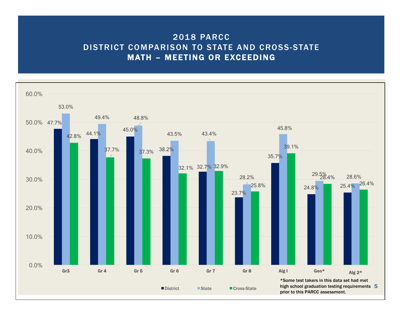#### 2018 PARCC DISTRICT COMPARISON TO STATE AND CROSS-STATE MATH – MEETING OR EXCEEDING

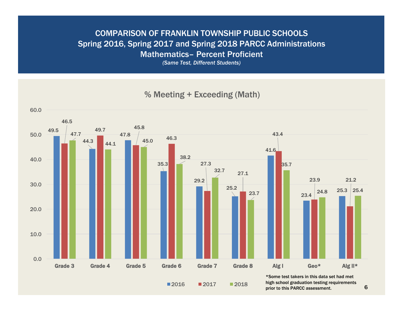#### COMPARISON OF FRANKLIN TOWNSHIP PUBLIC SCHOOLS Spring 2016, Spring 2017 and Spring 2018 PARCC Administrations Mathematics– Percent Proficient

*(Same Test, Different Students)*

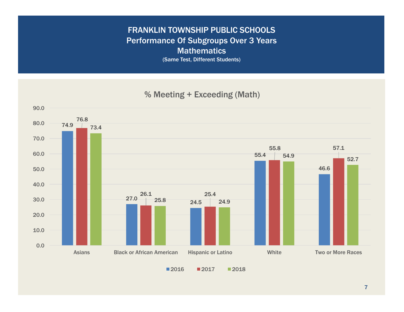### FRANKLIN TOWNSHIP PUBLIC SCHOOLS Performance Of Subgroups Over 3 Years **Mathematics**

(Same Test, Different Students)

74.9  $27.0 \begin{array}{|c|c|} \hline 25.8 \ \hline \end{array}$ 55.4 46.6 76.8 26.1 25.4 55.8 57.1 73.4 24.5 24.9 54.9 52.7 0.0 10.0 20.0 30.0 40.0 50.0 60.0 70.0 80.0 90.0 Asians Black or African American Hispanic or Latino White Two or More Races

■2016 ■2017 ■2018

% Meeting + Exceeding (Math)

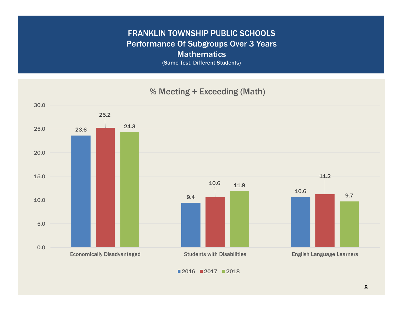### FRANKLIN TOWNSHIP PUBLIC SCHOOLS Performance Of Subgroups Over 3 Years **Mathematics**

(Same Test, Different Students)



 $12016$   $12017$   $12018$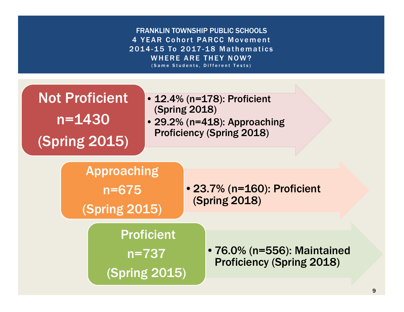FRANKLIN TOWNSHIP PUBLIC SCHOOLS 4 YEAR Cohort PARCC Movement 2014-15 To 2017-18 Mathematics WHERE ARE THEY NOW? (Same Students, Different Tests)

# Not Proficient n=1430 (Spring 2015)

- •12.4% (n=178): Proficient (Spring 2018)
- •29.2% (n=418): Approaching Proficiency (Spring 2018)

Approaching n=675

(Spring 2015)

•23.7% (n=160): Proficient (Spring 2018)

Proficient n=737

(Spring 2015)

•76.0% (n=556): Maintained Proficiency (Spring 2018)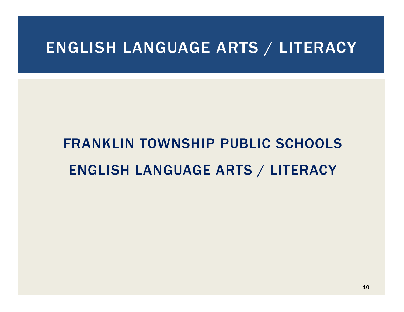## ENGLISH LANGUAGE ARTS / LITERACY

# FRANKLIN TOWNSHIP PUBLIC SCHOOLS ENGLISH LANGUAGE ARTS / LITERACY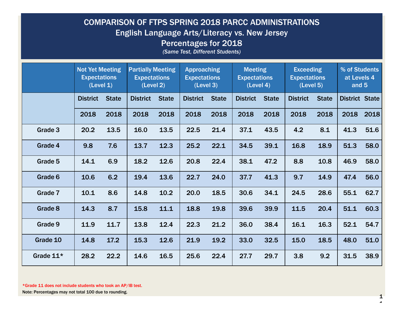#### COMPARISON OF FTPS SPRING 2018 PARCC ADMINISTRATIONS English Language Arts/Literacy vs. New Jersey Percentages for 2018

*(Same Test, Different Students)*

|           | <b>Not Yet Meeting</b><br><b>Expectations</b><br>(Level 1) |              | <b>Partially Meeting</b><br><b>Expectations</b><br>(Level 2) |              | <b>Approaching</b><br><b>Expectations</b><br>(Level 3) |              | <b>Meeting</b><br><b>Expectations</b><br>(Level 4) |              | <b>Exceeding</b><br><b>Expectations</b><br>(Level 5) |              | % of Students<br>at Levels 4<br>and 5 |      |
|-----------|------------------------------------------------------------|--------------|--------------------------------------------------------------|--------------|--------------------------------------------------------|--------------|----------------------------------------------------|--------------|------------------------------------------------------|--------------|---------------------------------------|------|
|           | <b>District</b>                                            | <b>State</b> | <b>District</b>                                              | <b>State</b> | <b>District</b>                                        | <b>State</b> | <b>District</b>                                    | <b>State</b> | <b>District</b>                                      | <b>State</b> | <b>District State</b>                 |      |
|           | 2018                                                       | 2018         | 2018                                                         | 2018         | 2018                                                   | 2018         | 2018                                               | 2018         | 2018                                                 | 2018         | 2018                                  | 2018 |
| Grade 3   | 20.2                                                       | 13.5         | 16.0                                                         | 13.5         | 22.5                                                   | 21.4         | 37.1                                               | 43.5         | 4.2                                                  | 8.1          | 41.3                                  | 51.6 |
| Grade 4   | 9.8                                                        | 7.6          | 13.7                                                         | 12.3         | 25.2                                                   | 22.1         | 34.5                                               | 39.1         | 16.8                                                 | 18.9         | 51.3                                  | 58.0 |
| Grade 5   | 14.1                                                       | 6.9          | 18.2                                                         | 12.6         | 20.8                                                   | 22.4         | 38.1                                               | 47.2         | 8.8                                                  | 10.8         | 46.9                                  | 58.0 |
| Grade 6   | 10.6                                                       | 6.2          | 19.4                                                         | 13.6         | 22.7                                                   | 24.0         | 37.7                                               | 41.3         | 9.7                                                  | 14.9         | 47.4                                  | 56.0 |
| Grade 7   | 10.1                                                       | 8.6          | 14.8                                                         | 10.2         | 20.0                                                   | 18.5         | 30.6                                               | 34.1         | 24.5                                                 | 28.6         | 55.1                                  | 62.7 |
| Grade 8   | 14.3                                                       | 8.7          | 15.8                                                         | 11.1         | 18.8                                                   | 19.8         | 39.6                                               | 39.9         | 11.5                                                 | 20.4         | 51.1                                  | 60.3 |
| Grade 9   | 11.9                                                       | 11.7         | 13.8                                                         | 12.4         | 22.3                                                   | 21.2         | 36.0                                               | 38.4         | 16.1                                                 | 16.3         | 52.1                                  | 54.7 |
| Grade 10  | 14.8                                                       | 17.2         | 15.3                                                         | 12.6         | 21.9                                                   | 19.2         | 33.0                                               | 32.5         | 15.0                                                 | 18.5         | 48.0                                  | 51.0 |
| Grade 11* | 28.2                                                       | 22.2         | 14.6                                                         | 16.5         | 25.6                                                   | 22.4         | 27.7                                               | 29.7         | 3.8                                                  | 9.2          | 31.5                                  | 38.9 |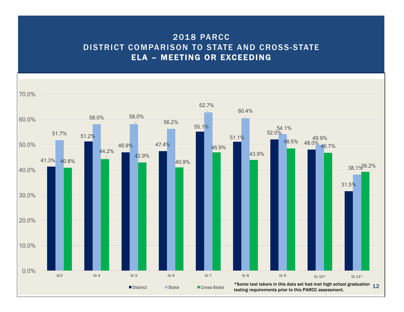#### 2018 PARCC DISTRICT COMPARISON TO STATE AND CROSS-STATE ELA – MEETING OR EXCEEDING

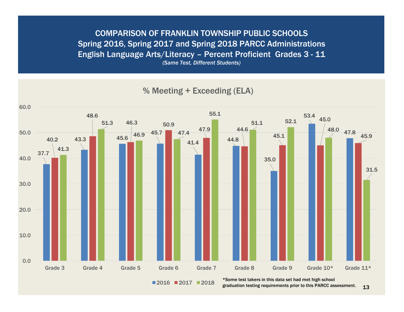COMPARISON OF FRANKLIN TOWNSHIP PUBLIC SCHOOLS Spring 2016, Spring 2017 and Spring 2018 PARCC Administrations English Language Arts/Literacy – Percent Proficient Grades 3 - 11 *(Same Test, Different Students)*



■2016 ■2017 ■2018 graduation testing requirements prior to this PARCC assessment.

13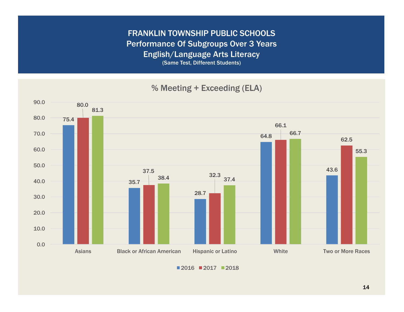FRANKLIN TOWNSHIP PUBLIC SCHOOLS Performance Of Subgroups Over 3 Years English/Language Arts Literacy

(Same Test, Different Students)

% Meeting + Exceeding (ELA)



 $2016$   $2017$   $2018$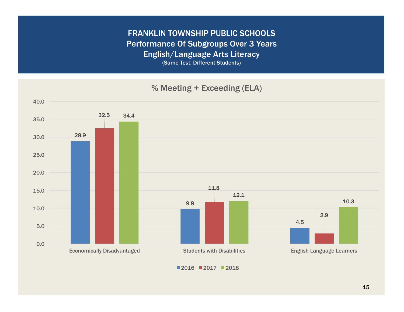FRANKLIN TOWNSHIP PUBLIC SCHOOLS Performance Of Subgroups Over 3 Years English/Language Arts Literacy (Same Test, Different Students)

28.9 9.8 4.5 32.5 11.8 2.9 34.4 12.1 10.3 0.0 5.0 10.0 15.0 20.0 25.0 30.0 35.0 40.0 % Meeting + Exceeding (ELA)

Economically Disadvantaged Students with Disabilities English Language Learners

■2016 ■2017 ■2018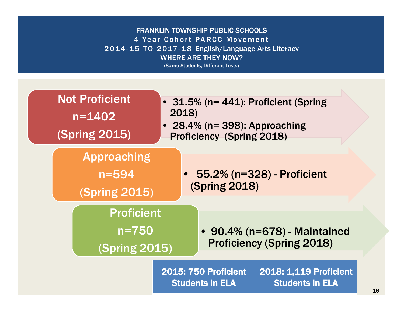#### FRANKLIN TOWNSHIP PUBLIC SCHOOLS 4 Year Cohort PARCC Movement 2014-15 TO 2017-18 English/Language Arts Literacy WHERE ARE THEY NOW?

(Same Students, Different Tests)

| <b>Not Proficient</b><br>$n = 1402$<br><b>(Spring 2015)</b> | • 31.5% (n= 441): Proficient (Spring<br>2018)<br>• 28.4% ( $n = 398$ ): Approaching<br>Proficiency (Spring 2018) |                                                                        |                                                  |    |  |
|-------------------------------------------------------------|------------------------------------------------------------------------------------------------------------------|------------------------------------------------------------------------|--------------------------------------------------|----|--|
| <b>Approaching</b><br>$n = 594$<br>(Spring 2015)            |                                                                                                                  | <b>(Spring 2018)</b>                                                   | 55.2% (n=328) - Proficient                       |    |  |
| <b>Proficient</b><br>$n = 750$<br>(Spring 2015)             |                                                                                                                  | • 90.4% ( $n = 678$ ) - Maintained<br><b>Proficiency (Spring 2018)</b> |                                                  |    |  |
|                                                             |                                                                                                                  | <b>2015: 750 Proficient</b><br><b>Students in ELA</b>                  | 2018: 1,119 Proficient<br><b>Students in ELA</b> | 16 |  |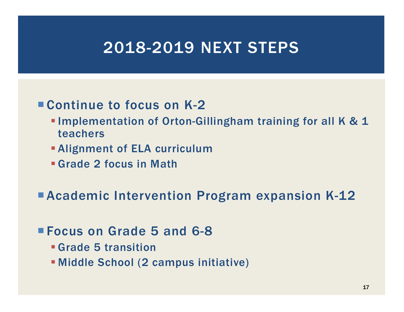### 2018-2019 NEXT STEPS

### ■ Continue to focus on K-2

- **Implementation of Orton-Gillingham training for all K & 1** teachers
- **Alignment of ELA curriculum**
- § Grade 2 focus in Math

■ Academic Intervention Program expansion K-12

### ¡ Focus on Grade 5 and 6-8

- § Grade 5 transition
- § Middle School (2 campus initiative)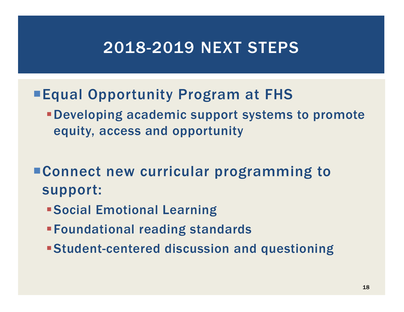## 2018-2019 NEXT STEPS

- **Equal Opportunity Program at FHS** 
	- §Developing academic support systems to promote equity, access and opportunity
- Connect new curricular programming to support:
	- §Social Emotional Learning
	- §Foundational reading standards
	- §Student-centered discussion and questioning